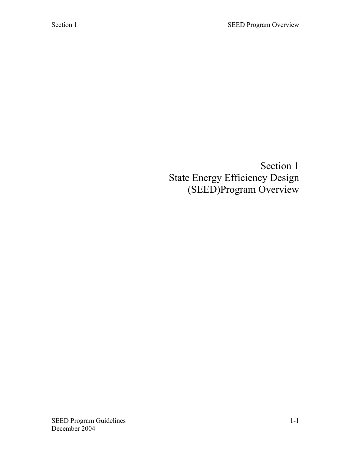Section 1 State Energy Efficiency Design (SEED)Program Overview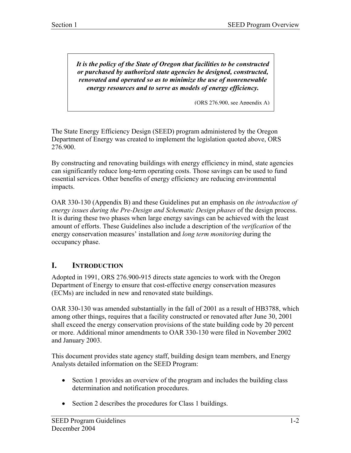*It is the policy of the State of Oregon that facilities to be constructed or purchased by authorized state agencies be designed, constructed, renovated and operated so as to minimize the use of nonrenewable energy resources and to serve as models of energy efficiency.*

(ORS 276.900, see Appendix A)

The State Energy Efficiency Design (SEED) program administered by the Oregon Department of Energy was created to implement the legislation quoted above, ORS 276.900.

By constructing and renovating buildings with energy efficiency in mind, state agencies can significantly reduce long-term operating costs. Those savings can be used to fund essential services. Other benefits of energy efficiency are reducing environmental impacts.

OAR 330-130 (Appendix B) and these Guidelines put an emphasis on *the introduction of energy issues during the Pre-Design and Schematic Design phases* of the design process. It is during these two phases when large energy savings can be achieved with the least amount of efforts. These Guidelines also include a description of the *verification* of the energy conservation measures' installation and *long term monitoring* during the occupancy phase.

### **I. INTRODUCTION**

Adopted in 1991, ORS 276.900-915 directs state agencies to work with the Oregon Department of Energy to ensure that cost-effective energy conservation measures (ECMs) are included in new and renovated state buildings.

OAR 330-130 was amended substantially in the fall of 2001 as a result of HB3788, which among other things, requires that a facility constructed or renovated after June 30, 2001 shall exceed the energy conservation provisions of the state building code by 20 percent or more. Additional minor amendments to OAR 330-130 were filed in November 2002 and January 2003.

This document provides state agency staff, building design team members, and Energy Analysts detailed information on the SEED Program:

- Section 1 provides an overview of the program and includes the building class determination and notification procedures.
- Section 2 describes the procedures for Class 1 buildings.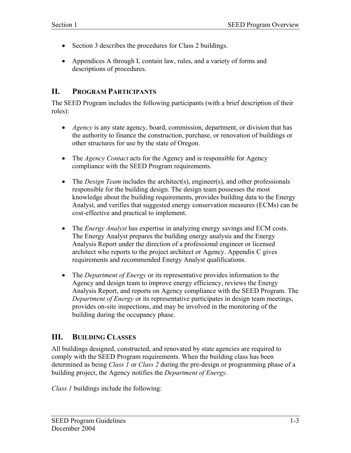- Section 3 describes the procedures for Class 2 buildings.
- Appendices A through L contain law, rules, and a variety of forms and descriptions of procedures.

## **II. PROGRAM PARTICIPANTS**

The SEED Program includes the following participants (with a brief description of their roles):

- *Agency* is any state agency, board, commission, department, or division that has the authority to finance the construction, purchase, or renovation of buildings or other structures for use by the state of Oregon.
- The *Agency Contact* acts for the Agency and is responsible for Agency compliance with the SEED Program requirements.
- The *Design Team* includes the architect(s), engineer(s), and other professionals responsible for the building design. The design team possesses the most knowledge about the building requirements, provides building data to the Energy Analyst, and verifies that suggested energy conservation measures (ECMs) can be cost-effective and practical to implement.
- The *Energy Analyst* has expertise in analyzing energy savings and ECM costs. The Energy Analyst prepares the building energy analysis and the Energy Analysis Report under the direction of a professional engineer or licensed architect who reports to the project architect or Agency. Appendix C gives requirements and recommended Energy Analyst qualifications.
- The *Department of Energy* or its representative provides information to the Agency and design team to improve energy efficiency, reviews the Energy Analysis Report, and reports on Agency compliance with the SEED Program. The *Department of Energy* or its representative participates in design team meetings, provides on-site inspections, and may be involved in the monitoring of the building during the occupancy phase.

# **III. BUILDING CLASSES**

All buildings designed, constructed, and renovated by state agencies are required to comply with the SEED Program requirements. When the building class has been determined as being *Class 1* or *Class 2* during the pre-design or programming phase of a building project, the Agency notifies the *Department of Energy*.

*Class 1* buildings include the following: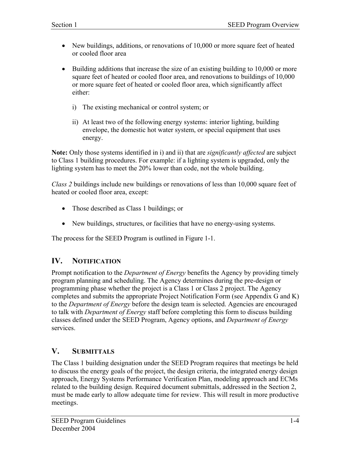- New buildings, additions, or renovations of 10,000 or more square feet of heated or cooled floor area
- Building additions that increase the size of an existing building to 10,000 or more square feet of heated or cooled floor area, and renovations to buildings of 10,000 or more square feet of heated or cooled floor area, which significantly affect either:
	- i) The existing mechanical or control system; or
	- ii) At least two of the following energy systems: interior lighting, building envelope, the domestic hot water system, or special equipment that uses energy.

**Note:** Only those systems identified in i) and ii) that are *significantly affected* are subject to Class 1 building procedures. For example: if a lighting system is upgraded, only the lighting system has to meet the 20% lower than code, not the whole building.

*Class 2* buildings include new buildings or renovations of less than 10,000 square feet of heated or cooled floor area, except:

- Those described as Class 1 buildings; or
- New buildings, structures, or facilities that have no energy-using systems.

The process for the SEED Program is outlined in Figure 1-1.

## **IV. NOTIFICATION**

Prompt notification to the *Department of Energy* benefits the Agency by providing timely program planning and scheduling. The Agency determines during the pre-design or programming phase whether the project is a Class 1 or Class 2 project. The Agency completes and submits the appropriate Project Notification Form (see Appendix G and K) to the *Department of Energy* before the design team is selected. Agencies are encouraged to talk with *Department of Energy* staff before completing this form to discuss building classes defined under the SEED Program, Agency options, and *Department of Energy* services.

## **V. SUBMITTALS**

The Class 1 building designation under the SEED Program requires that meetings be held to discuss the energy goals of the project, the design criteria, the integrated energy design approach, Energy Systems Performance Verification Plan, modeling approach and ECMs related to the building design. Required document submittals, addressed in the Section 2, must be made early to allow adequate time for review. This will result in more productive meetings.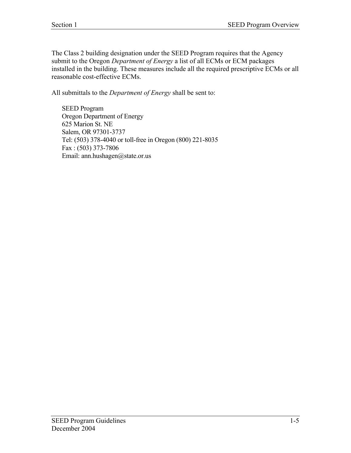The Class 2 building designation under the SEED Program requires that the Agency submit to the Oregon *Department of Energy* a list of all ECMs or ECM packages installed in the building. These measures include all the required prescriptive ECMs or all reasonable cost-effective ECMs.

All submittals to the *Department of Energy* shall be sent to:

SEED Program Oregon Department of Energy 625 Marion St. NE Salem, OR 97301-3737 Tel: (503) 378-4040 or toll-free in Oregon (800) 221-8035 Fax : (503) 373-7806 Email: ann.hushagen@state.or.us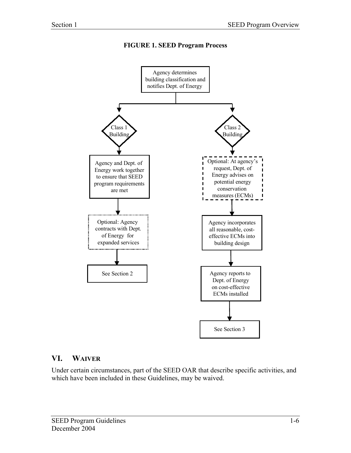



### **VI. WAIVER**

Under certain circumstances, part of the SEED OAR that describe specific activities, and which have been included in these Guidelines, may be waived.